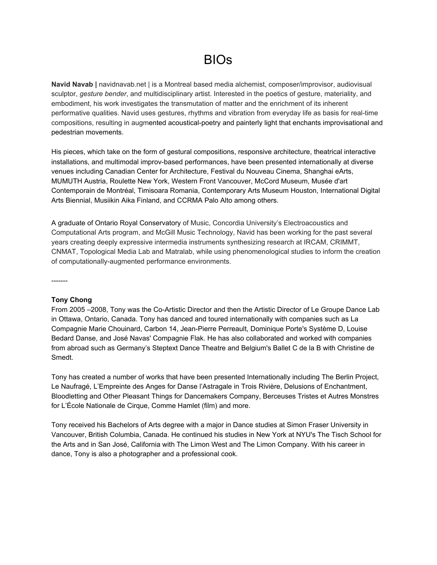## BIOs

**Navid Navab |** navidnavab.net | is a Montreal based media alchemist, composer/improvisor, audiovisual sculptor, *gesture bender*, and multidisciplinary artist. Interested in the poetics of gesture, materiality, and embodiment, his work investigates the transmutation of matter and the enrichment of its inherent performative qualities. Navid uses gestures, rhythms and vibration from everyday life as basis for real-time compositions, resulting in augmented acoustical-poetry and painterly light that enchants improvisational and pedestrian movements.

His pieces, which take on the form of gestural compositions, responsive architecture, theatrical interactive installations, and multimodal improv-based performances, have been presented internationally at diverse venues including Canadian Center for Architecture, Festival du Nouveau Cinema, Shanghai eArts, MUMUTH Austria, Roulette New York, Western Front Vancouver, McCord Museum, Musée d'art Contemporain de Montréal, Timisoara Romania, Contemporary Arts Museum Houston, [International](http://www.google.com/url?q=http%3A%2F%2Fbianmontreal.ca%2Fen&sa=D&sntz=1&usg=AFQjCNGF8zCJ4Z1is-6w27jaMtK6CF08YA) Digital Arts [Biennial,](http://www.google.com/url?q=http%3A%2F%2Fbianmontreal.ca%2Fen&sa=D&sntz=1&usg=AFQjCNGF8zCJ4Z1is-6w27jaMtK6CF08YA) Musiikin Aika Finland, and CCRMA Palo Alto among others.

A graduate of Ontario Royal Conservatory of Music, Concordia University's Electroacoustics and Computational Arts program, and McGill Music Technology, Navid has been working for the past several years creating deeply expressive intermedia instruments synthesizing research at IRCAM, CRIMMT, CNMAT, Topological Media Lab and Matralab, while using phenomenological studies to inform the creation of computationally-augmented performance environments.

-------

## **Tony Chong**

From 2005 -2008, Tony was the Co-Artistic Director and then the Artistic Director of Le Groupe Dance Lab in Ottawa, Ontario, Canada. Tony has danced and toured internationally with companies such as La Compagnie Marie Chouinard, Carbon 14, Jean-Pierre Perreault, Dominique Porte's Système D, Louise Bedard Danse, and José Navas' Compagnie Flak. He has also collaborated and worked with companies from abroad such as Germany's Steptext Dance Theatre and Belgium's Ballet C de la B with Christine de Smedt.

Tony has created a number of works that have been presented Internationally including The Berlin Project, Le Naufragé, L'Empreinte des Anges for Danse l'Astragale in Trois Rivière, Delusions of Enchantment, Bloodletting and Other Pleasant Things for Dancemakers Company, Berceuses Tristes et Autres Monstres for L'École Nationale de Cirque, Comme Hamlet (film) and more.

Tony received his Bachelors of Arts degree with a major in Dance studies at Simon Fraser University in Vancouver, British Columbia, Canada. He continued his studies in New York at NYU's The Tisch School for the Arts and in San José, California with The Limon West and The Limon Company. With his career in dance, Tony is also a photographer and a professional cook.